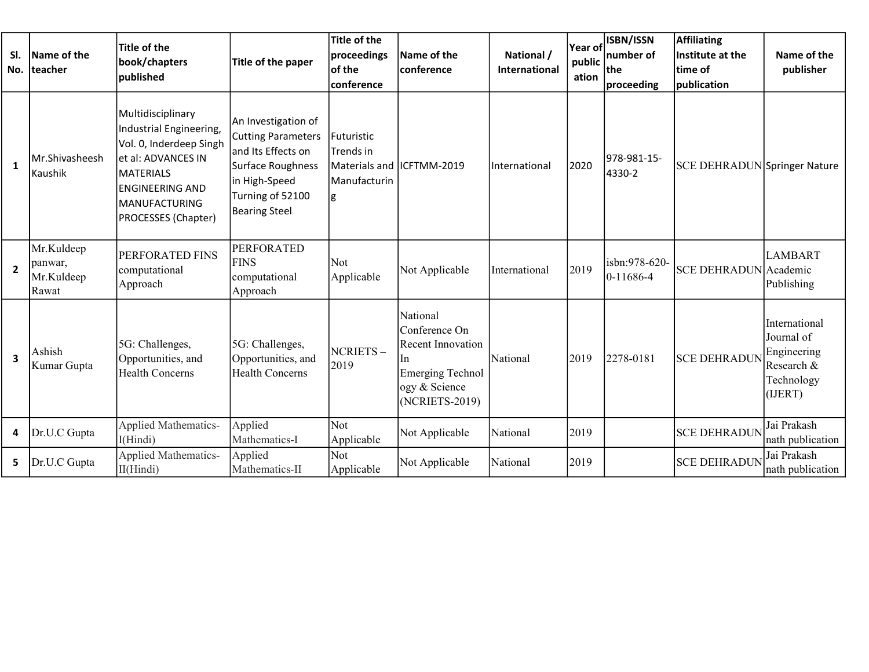| SI.<br>No.              | Name of the<br>teacher                       | Title of the<br>book/chapters<br>published                                                                                                                              | Title of the paper                                                                                                                                       | <b>Title of the</b><br>proceedings<br>of the<br>conference                 | Name of the<br><b>conference</b>                                                                                           | National /<br><b>International</b> | <b>Year of</b><br>public<br>ation | ISBN/ISSN<br>number of<br>the<br>proceeding | <b>Affiliating</b><br>Institute at the<br>time of<br>publication | Name of the<br>publisher                                                          |
|-------------------------|----------------------------------------------|-------------------------------------------------------------------------------------------------------------------------------------------------------------------------|----------------------------------------------------------------------------------------------------------------------------------------------------------|----------------------------------------------------------------------------|----------------------------------------------------------------------------------------------------------------------------|------------------------------------|-----------------------------------|---------------------------------------------|------------------------------------------------------------------|-----------------------------------------------------------------------------------|
| 1                       | Mr.Shivasheesh<br>Kaushik                    | Multidisciplinary<br>Industrial Engineering,<br>Vol. 0, Inderdeep Singh<br>et al: ADVANCES IN<br>MATERIALS<br>lengineering and<br>IMANUFACTURING<br>PROCESSES (Chapter) | An Investigation of<br><b>Cutting Parameters</b><br>and Its Effects on<br>Surface Roughness<br>in High-Speed<br>Turning of 52100<br><b>Bearing Steel</b> | Futuristic<br>Trends in<br>Materials and IICFTMM-2019<br>Manufacturin<br>g |                                                                                                                            | International                      | 2020                              | 978-981-15-<br>4330-2                       | <b>SCE DEHRADUN Springer Nature</b>                              |                                                                                   |
| $\overline{2}$          | Mr.Kuldeep<br>panwar,<br>Mr.Kuldeep<br>Rawat | <b>PERFORATED FINS</b><br>computational<br>Approach                                                                                                                     | <b>PERFORATED</b><br><b>FINS</b><br>computational<br>Approach                                                                                            | Not<br>Applicable                                                          | Not Applicable                                                                                                             | International                      | 2019                              | isbn:978-620-<br>$0-11686-4$                | SCE DEHRADUN Academic                                            | <b>LAMBART</b><br>Publishing                                                      |
| $\overline{\mathbf{3}}$ | Ashish<br>Kumar Gupta                        | 5G: Challenges,<br>Opportunities, and<br><b>Health Concerns</b>                                                                                                         | 5G: Challenges,<br>Opportunities, and<br><b>Health Concerns</b>                                                                                          | NCRIETS-<br>2019                                                           | National<br>Conference On<br><b>Recent Innovation</b><br>In.<br><b>Emerging Technol</b><br>ogy & Science<br>(NCRIETS-2019) | National                           | 2019                              | 2278-0181                                   | <b>SCE DEHRADUN</b>                                              | International<br>Journal of<br>Engineering<br>Research &<br>Technology<br>(IJERT) |
| 4                       | Dr.U.C Gupta                                 | <b>Applied Mathematics-</b><br>I(Hindi)                                                                                                                                 | Applied<br>Mathematics-I                                                                                                                                 | Not<br>Applicable                                                          | Not Applicable                                                                                                             | National                           | 2019                              |                                             | <b>SCE DEHRADUN</b>                                              | Jai Prakash<br>nath publication                                                   |
| 5.                      | Dr.U.C Gupta                                 | <b>Applied Mathematics-</b><br>II(Hindi)                                                                                                                                | Applied<br>Mathematics-II                                                                                                                                | Not<br>Applicable                                                          | Not Applicable                                                                                                             | National                           | 2019                              |                                             | <b>SCE DEHRADUN</b>                                              | Jai Prakash<br>nath publication                                                   |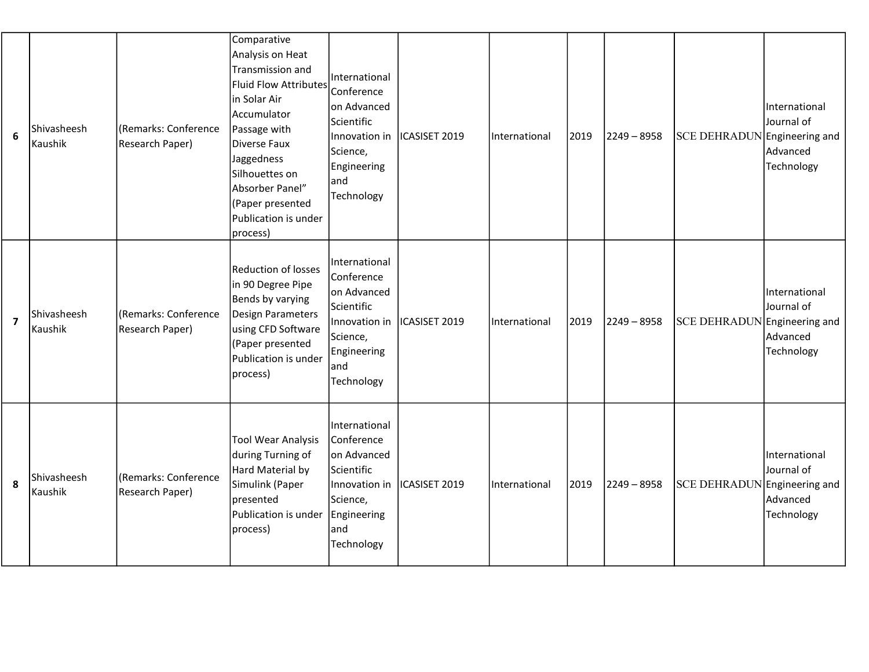| 6                       | Shivasheesh<br>Kaushik | (Remarks: Conference<br>Research Paper) | Comparative<br>Analysis on Heat<br>Transmission and<br><b>Fluid Flow Attributes</b><br>in Solar Air<br>Accumulator<br>Passage with<br>Diverse Faux<br>Jaggedness<br>Silhouettes on<br>Absorber Panel"<br>(Paper presented<br>Publication is under<br>process) | International<br>Conference<br>on Advanced<br>Scientific<br>Innovation in<br>Science,<br>Engineering<br>land<br>Technology | ICASISET 2019 | International | 2019 | $2249 - 8958$ | SCE DEHRADUN Engineering and | International<br>Journal of<br>Advanced<br>Technology |
|-------------------------|------------------------|-----------------------------------------|---------------------------------------------------------------------------------------------------------------------------------------------------------------------------------------------------------------------------------------------------------------|----------------------------------------------------------------------------------------------------------------------------|---------------|---------------|------|---------------|------------------------------|-------------------------------------------------------|
| $\overline{\mathbf{z}}$ | Shivasheesh<br>Kaushik | (Remarks: Conference<br>Research Paper) | <b>Reduction of losses</b><br>in 90 Degree Pipe<br>Bends by varying<br>Design Parameters<br>using CFD Software<br>(Paper presented<br>Publication is under<br>process)                                                                                        | International<br>Conference<br>on Advanced<br>Scientific<br>Innovation in<br>Science,<br>Engineering<br> and<br>Technology | ICASISET 2019 | International | 2019 | $2249 - 8958$ | SCE DEHRADUN Engineering and | International<br>Journal of<br>Advanced<br>Technology |
| 8                       | Shivasheesh<br>Kaushik | (Remarks: Conference<br>Research Paper) | <b>Tool Wear Analysis</b><br>during Turning of<br>Hard Material by<br>Simulink (Paper<br>presented<br>Publication is under<br>process)                                                                                                                        | International<br>Conference<br>on Advanced<br>Scientific<br>Innovation in<br>Science,<br>Engineering<br>land<br>Technology | ICASISET 2019 | International | 2019 | $2249 - 8958$ | SCE DEHRADUN Engineering and | International<br>Journal of<br>Advanced<br>Technology |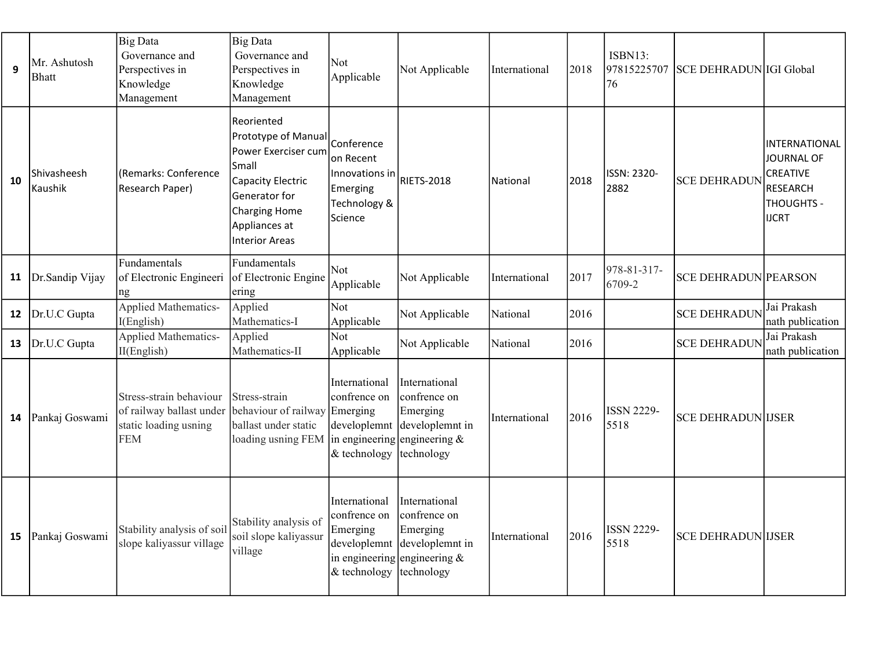| 9  | Mr. Ashutosh<br><b>Bhatt</b> | <b>Big Data</b><br>Governance and<br>Perspectives in<br>Knowledge<br>Management            | <b>Big Data</b><br>Governance and<br>Perspectives in<br>Knowledge<br>Management                                                                                          | Not<br>Applicable                                                                                            | Not Applicable                                                             | International   | 2018 | ISBN13:<br>97815225707<br>76 | <b>SCE DEHRADUN IGI Global</b> |                                                                                                               |
|----|------------------------------|--------------------------------------------------------------------------------------------|--------------------------------------------------------------------------------------------------------------------------------------------------------------------------|--------------------------------------------------------------------------------------------------------------|----------------------------------------------------------------------------|-----------------|------|------------------------------|--------------------------------|---------------------------------------------------------------------------------------------------------------|
| 10 | Shivasheesh<br>Kaushik       | (Remarks: Conference<br>Research Paper)                                                    | Reoriented<br>Prototype of Manua<br>Power Exerciser cum<br>Small<br>Capacity Electric<br>Generator for<br><b>Charging Home</b><br>Appliances at<br><b>Interior Areas</b> | Conference<br>on Recent<br>Innovations in<br><b>Emerging</b><br>Technology &<br>Science                      | RIETS-2018                                                                 | <b>National</b> | 2018 | ISSN: 2320-<br>2882          | <b>SCE DEHRADUN</b>            | <b>INTERNATIONAL</b><br><b>JOURNAL OF</b><br>CREATIVE<br><b>RESEARCH</b><br><b>THOUGHTS -</b><br><b>IJCRT</b> |
| 11 | Dr.Sandip Vijay              | Fundamentals<br>of Electronic Engineeri<br>ng                                              | Fundamentals<br>of Electronic Engine<br>ering                                                                                                                            | Not<br>Applicable                                                                                            | Not Applicable                                                             | International   | 2017 | 978-81-317-<br>6709-2        | <b>SCE DEHRADUN PEARSON</b>    |                                                                                                               |
| 12 | Dr.U.C Gupta                 | Applied Mathematics-<br>I(English)                                                         | Applied<br>Mathematics-I                                                                                                                                                 | Not<br>Applicable                                                                                            | Not Applicable                                                             | National        | 2016 |                              | <b>SCE DEHRADUN</b>            | Jai Prakash<br>nath publication                                                                               |
| 13 | Dr.U.C Gupta                 | Applied Mathematics-<br>II(English)                                                        | Applied<br>Mathematics-II                                                                                                                                                | Not<br>Applicable                                                                                            | Not Applicable                                                             | National        | 2016 |                              | <b>SCE DEHRADUN</b>            | Jai Prakash<br>nath publication                                                                               |
| 14 | Pankaj Goswami               | Stress-strain behaviour<br>of railway ballast under<br>static loading usning<br><b>FEM</b> | Stress-strain<br>behaviour of railway Emerging<br>ballast under static<br>loading usning FEM                                                                             | International<br>confrence on<br>developlemnt<br>in engineering engineering $\&$<br>& technology             | International<br>confrence on<br>Emerging<br>developlemnt in<br>technology | International   | 2016 | <b>ISSN 2229-</b><br>5518    | <b>SCE DEHRADUN IJSER</b>      |                                                                                                               |
| 15 | Pankaj Goswami               | Stability analysis of soil<br>slope kaliyassur village                                     | Stability analysis of<br>soil slope kaliyassur<br>village                                                                                                                | International<br>confrence on<br>Emerging<br>developlemnt<br>in engineering engineering $\&$<br>& technology | International<br>confrence on<br>Emerging<br>developlemnt in<br>technology | International   | 2016 | <b>ISSN 2229-</b><br>5518    | <b>SCE DEHRADUN IJSER</b>      |                                                                                                               |